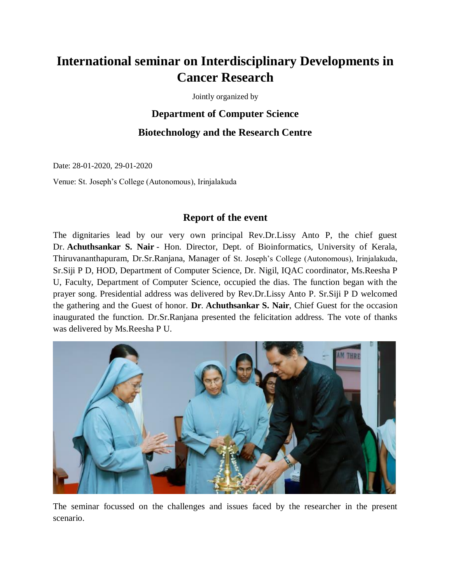# **International seminar on Interdisciplinary Developments in Cancer Research**

Jointly organized by

# **Department of Computer Science Biotechnology and the Research Centre**

Date: 28-01-2020, 29-01-2020

Venue: St. Joseph's College (Autonomous), Irinjalakuda

## **Report of the event**

The dignitaries lead by our very own principal Rev.Dr.Lissy Anto P, the chief guest Dr. **Achuthsankar S. Nair** - Hon. Director, Dept. of Bioinformatics, University of Kerala, Thiruvananthapuram, Dr.Sr.Ranjana, Manager of St. Joseph's College (Autonomous), Irinjalakuda, Sr.Siji P D, HOD, Department of Computer Science, Dr. Nigil, IQAC coordinator, Ms.Reesha P U, Faculty, Department of Computer Science, occupied the dias. The function began with the prayer song. Presidential address was delivered by Rev.Dr.Lissy Anto P. Sr.Siji P D welcomed the gathering and the Guest of honor. **Dr**. **Achuthsankar S. Nair**, Chief Guest for the occasion inaugurated the function. Dr.Sr.Ranjana presented the felicitation address. The vote of thanks was delivered by Ms.Reesha P U.



The seminar focussed on the challenges and issues faced by the researcher in the present scenario.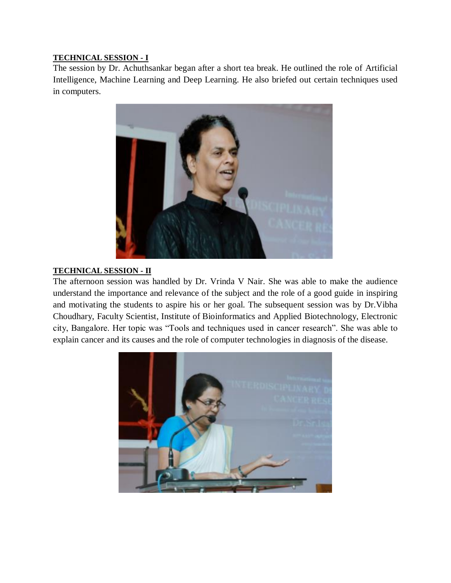### **TECHNICAL SESSION - I**

The session by Dr. Achuthsankar began after a short tea break. He outlined the role of Artificial Intelligence, Machine Learning and Deep Learning. He also briefed out certain techniques used in computers.



#### **TECHNICAL SESSION - II**

The afternoon session was handled by Dr. Vrinda V Nair. She was able to make the audience understand the importance and relevance of the subject and the role of a good guide in inspiring and motivating the students to aspire his or her goal. The subsequent session was by Dr.Vibha Choudhary, Faculty Scientist, Institute of Bioinformatics and Applied Biotechnology, Electronic city, Bangalore. Her topic was "Tools and techniques used in cancer research". She was able to explain cancer and its causes and the role of computer technologies in diagnosis of the disease.

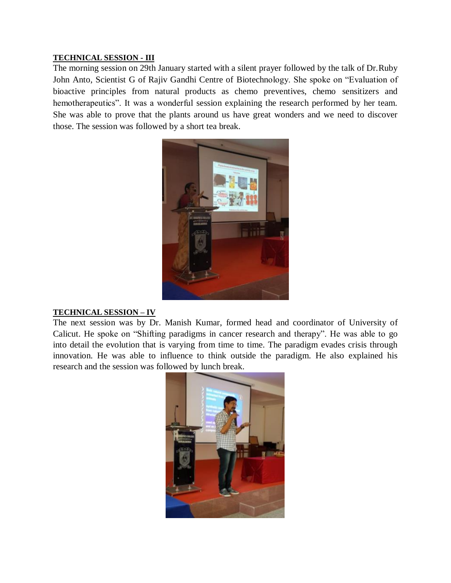#### **TECHNICAL SESSION - III**

The morning session on 29th January started with a silent prayer followed by the talk of Dr.Ruby John Anto, Scientist G of Rajiv Gandhi Centre of Biotechnology. She spoke on "Evaluation of bioactive principles from natural products as chemo preventives, chemo sensitizers and hemotherapeutics". It was a wonderful session explaining the research performed by her team. She was able to prove that the plants around us have great wonders and we need to discover those. The session was followed by a short tea break.



#### **TECHNICAL SESSION – IV**

The next session was by Dr. Manish Kumar, formed head and coordinator of University of Calicut. He spoke on "Shifting paradigms in cancer research and therapy". He was able to go into detail the evolution that is varying from time to time. The paradigm evades crisis through innovation. He was able to influence to think outside the paradigm. He also explained his research and the session was followed by lunch break.